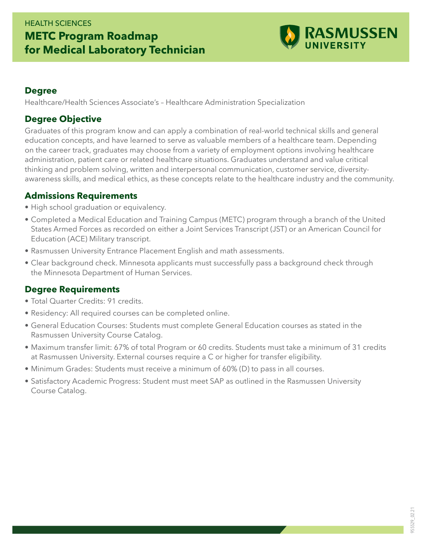# HEALTH SCIENCES **METC Program Roadmap for Medical Laboratory Technician**



#### **Degree**

Healthcare/Health Sciences Associate's – Healthcare Administration Specialization

### **Degree Objective**

Graduates of this program know and can apply a combination of real-world technical skills and general education concepts, and have learned to serve as valuable members of a healthcare team. Depending on the career track, graduates may choose from a variety of employment options involving healthcare administration, patient care or related healthcare situations. Graduates understand and value critical thinking and problem solving, written and interpersonal communication, customer service, diversityawareness skills, and medical ethics, as these concepts relate to the healthcare industry and the community.

### **Admissions Requirements**

- High school graduation or equivalency.
- Completed a Medical Education and Training Campus (METC) program through a branch of the United States Armed Forces as recorded on either a Joint Services Transcript (JST) or an American Council for Education (ACE) Military transcript.
- Rasmussen University Entrance Placement English and math assessments.
- Clear background check. Minnesota applicants must successfully pass a background check through the Minnesota Department of Human Services.

## **Degree Requirements**

- Total Quarter Credits: 91 credits.
- Residency: All required courses can be completed online.
- General Education Courses: Students must complete General Education courses as stated in the Rasmussen University Course Catalog.
- Maximum transfer limit: 67% of total Program or 60 credits. Students must take a minimum of 31 credits at Rasmussen University. External courses require a C or higher for transfer eligibility.
- Minimum Grades: Students must receive a minimum of 60% (D) to pass in all courses.
- Satisfactory Academic Progress: Student must meet SAP as outlined in the Rasmussen University Course Catalog.